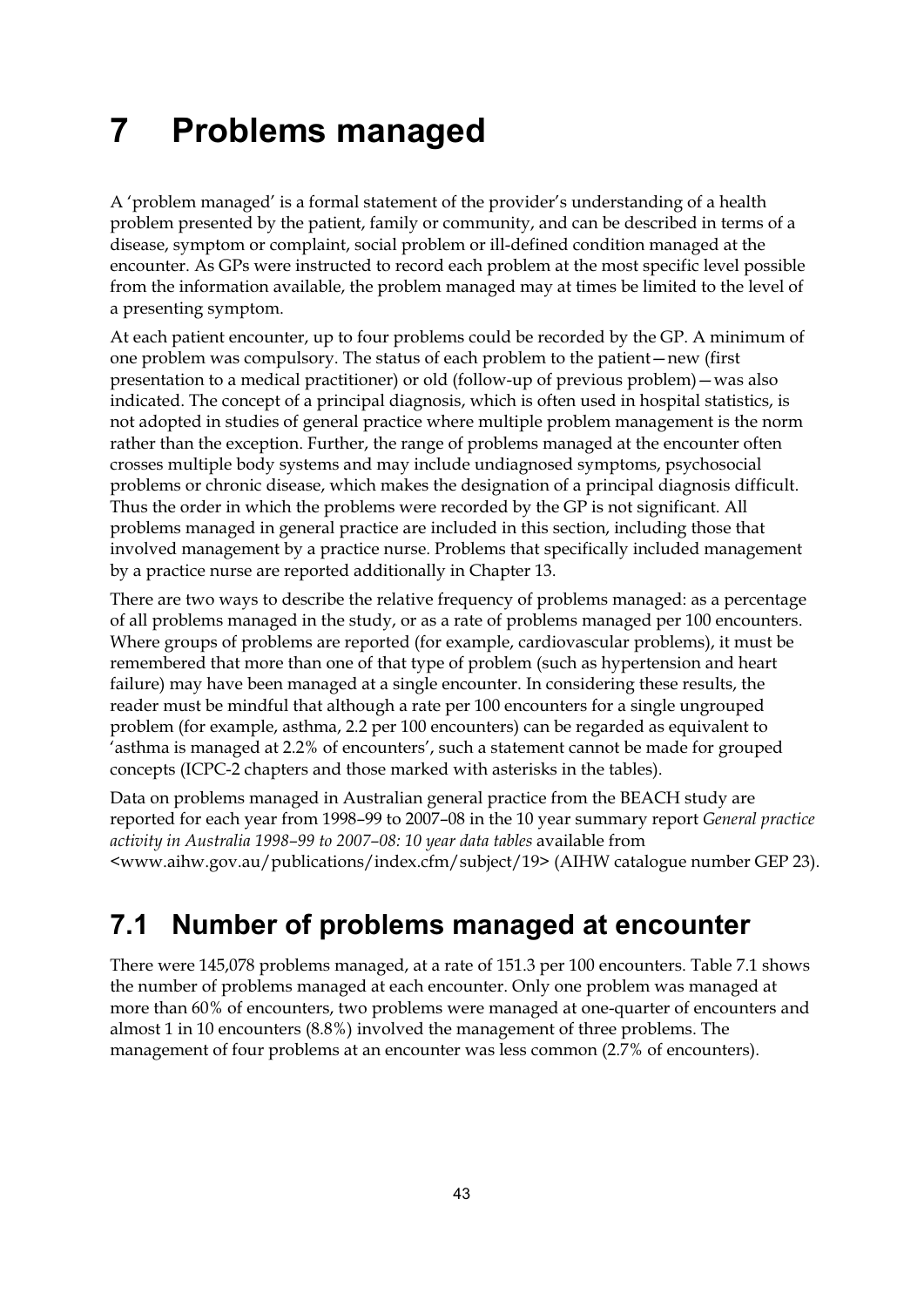# **7 Problems managed**

A 'problem managed' is a formal statement of the provider's understanding of a health problem presented by the patient, family or community, and can be described in terms of a disease, symptom or complaint, social problem or ill-defined condition managed at the encounter. As GPs were instructed to record each problem at the most specific level possible from the information available, the problem managed may at times be limited to the level of a presenting symptom.

At each patient encounter, up to four problems could be recorded by the GP. A minimum of one problem was compulsory. The status of each problem to the patient—new (first presentation to a medical practitioner) or old (follow-up of previous problem)—was also indicated. The concept of a principal diagnosis, which is often used in hospital statistics, is not adopted in studies of general practice where multiple problem management is the norm rather than the exception. Further, the range of problems managed at the encounter often crosses multiple body systems and may include undiagnosed symptoms, psychosocial problems or chronic disease, which makes the designation of a principal diagnosis difficult. Thus the order in which the problems were recorded by the GP is not significant. All problems managed in general practice are included in this section, including those that involved management by a practice nurse. Problems that specifically included management by a practice nurse are reported additionally in Chapter 13.

There are two ways to describe the relative frequency of problems managed: as a percentage of all problems managed in the study, or as a rate of problems managed per 100 encounters. Where groups of problems are reported (for example, cardiovascular problems), it must be remembered that more than one of that type of problem (such as hypertension and heart failure) may have been managed at a single encounter. In considering these results, the reader must be mindful that although a rate per 100 encounters for a single ungrouped problem (for example, asthma, 2.2 per 100 encounters) can be regarded as equivalent to 'asthma is managed at 2.2% of encounters', such a statement cannot be made for grouped concepts (ICPC-2 chapters and those marked with asterisks in the tables).

Data on problems managed in Australian general practice from the BEACH study are reported for each year from 1998–99 to 2007–08 in the 10 year summary report *General practice activity in Australia 1998–99 to 2007–08: 10 year data tables* available from <www.aihw.gov.au/publications/index.cfm/subject/19> (AIHW catalogue number GEP 23).

## **7.1 Number of problems managed at encounter**

There were 145,078 problems managed, at a rate of 151.3 per 100 encounters. Table 7.1 shows the number of problems managed at each encounter. Only one problem was managed at more than 60% of encounters, two problems were managed at one-quarter of encounters and almost 1 in 10 encounters (8.8%) involved the management of three problems. The management of four problems at an encounter was less common (2.7% of encounters).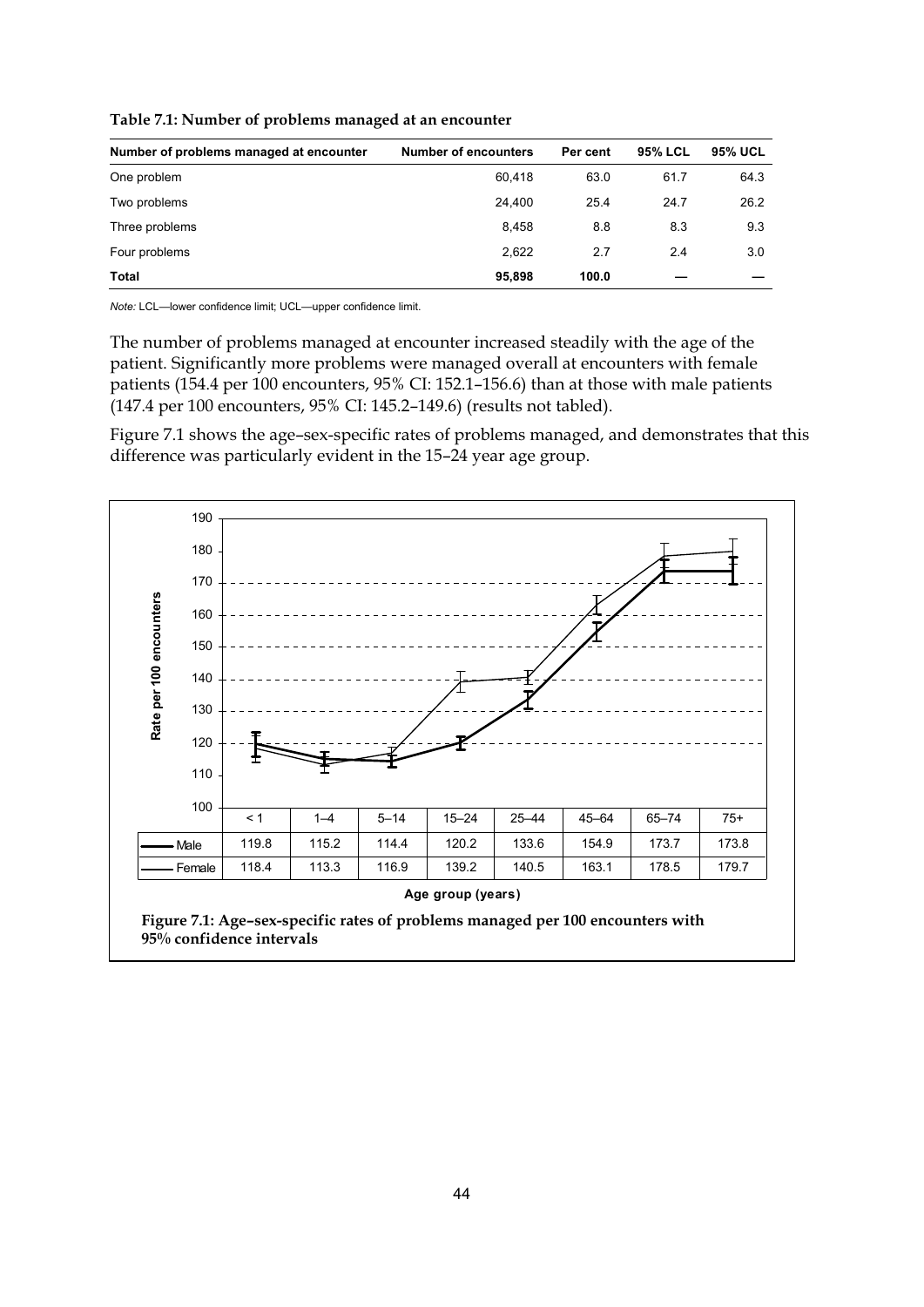| Number of problems managed at encounter | <b>Number of encounters</b> | Per cent | <b>95% LCL</b> | <b>95% UCL</b> |
|-----------------------------------------|-----------------------------|----------|----------------|----------------|
| One problem                             | 60.418                      | 63.0     | 61.7           | 64.3           |
| Two problems                            | 24.400                      | 25.4     | 24.7           | 26.2           |
| Three problems                          | 8,458                       | 8.8      | 8.3            | 9.3            |
| Four problems                           | 2,622                       | 2.7      | 2.4            | 3.0            |
| <b>Total</b>                            | 95.898                      | 100.0    |                |                |

**Table 7.1: Number of problems managed at an encounter** 

*Note:* LCL—lower confidence limit; UCL—upper confidence limit.

The number of problems managed at encounter increased steadily with the age of the patient. Significantly more problems were managed overall at encounters with female patients (154.4 per 100 encounters, 95% CI: 152.1–156.6) than at those with male patients (147.4 per 100 encounters, 95% CI: 145.2–149.6) (results not tabled).

Figure 7.1 shows the age–sex-specific rates of problems managed, and demonstrates that this difference was particularly evident in the 15–24 year age group.

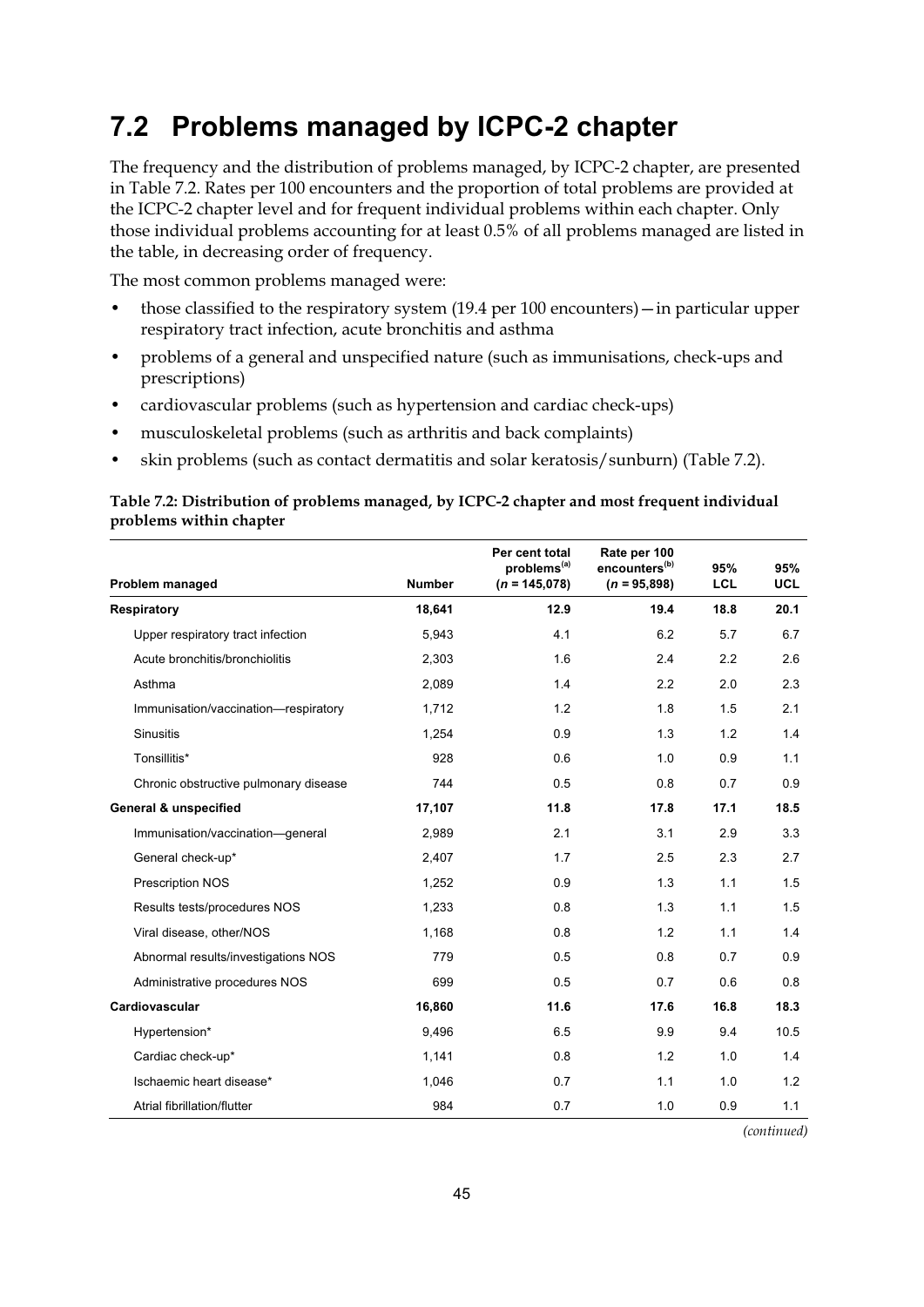## **7.2 Problems managed by ICPC-2 chapter**

The frequency and the distribution of problems managed, by ICPC-2 chapter, are presented in Table 7.2. Rates per 100 encounters and the proportion of total problems are provided at the ICPC-2 chapter level and for frequent individual problems within each chapter. Only those individual problems accounting for at least 0.5% of all problems managed are listed in the table, in decreasing order of frequency.

The most common problems managed were:

- those classified to the respiratory system (19.4 per 100 encounters) in particular upper respiratory tract infection, acute bronchitis and asthma
- problems of a general and unspecified nature (such as immunisations, check-ups and prescriptions)
- cardiovascular problems (such as hypertension and cardiac check-ups)
- musculoskeletal problems (such as arthritis and back complaints)
- skin problems (such as contact dermatitis and solar keratosis/sunburn) (Table 7.2).

### **Table 7.2: Distribution of problems managed, by ICPC-2 chapter and most frequent individual problems within chapter**

| Problem managed                       | <b>Number</b> | Per cent total<br>problems <sup>(a)</sup><br>$(n = 145,078)$ | Rate per 100<br>encounters <sup>(b)</sup><br>$(n = 95,898)$ | 95%<br><b>LCL</b> | 95%<br><b>UCL</b> |
|---------------------------------------|---------------|--------------------------------------------------------------|-------------------------------------------------------------|-------------------|-------------------|
| Respiratory                           | 18,641        | 12.9                                                         | 19.4                                                        | 18.8              | 20.1              |
| Upper respiratory tract infection     | 5,943         | 4.1                                                          | 6.2                                                         | 5.7               | 6.7               |
| Acute bronchitis/bronchiolitis        | 2,303         | 1.6                                                          | 2.4                                                         | 2.2               | 2.6               |
| Asthma                                | 2,089         | 1.4                                                          | 2.2                                                         | 2.0               | 2.3               |
| Immunisation/vaccination-respiratory  | 1,712         | 1.2                                                          | 1.8                                                         | 1.5               | 2.1               |
| <b>Sinusitis</b>                      | 1,254         | 0.9                                                          | 1.3                                                         | 1.2               | 1.4               |
| Tonsillitis*                          | 928           | 0.6                                                          | 1.0                                                         | 0.9               | 1.1               |
| Chronic obstructive pulmonary disease | 744           | 0.5                                                          | 0.8                                                         | 0.7               | 0.9               |
| <b>General &amp; unspecified</b>      | 17,107        | 11.8                                                         | 17.8                                                        | 17.1              | 18.5              |
| Immunisation/vaccination-general      | 2,989         | 2.1                                                          | 3.1                                                         | 2.9               | 3.3               |
| General check-up*                     | 2,407         | 1.7                                                          | 2.5                                                         | 2.3               | 2.7               |
| Prescription NOS                      | 1,252         | 0.9                                                          | 1.3                                                         | 1.1               | 1.5               |
| Results tests/procedures NOS          | 1,233         | 0.8                                                          | 1.3                                                         | 1.1               | 1.5               |
| Viral disease, other/NOS              | 1,168         | 0.8                                                          | 1.2                                                         | 1.1               | 1.4               |
| Abnormal results/investigations NOS   | 779           | 0.5                                                          | 0.8                                                         | 0.7               | 0.9               |
| Administrative procedures NOS         | 699           | 0.5                                                          | 0.7                                                         | 0.6               | 0.8               |
| Cardiovascular                        | 16,860        | 11.6                                                         | 17.6                                                        | 16.8              | 18.3              |
| Hypertension*                         | 9,496         | 6.5                                                          | 9.9                                                         | 9.4               | 10.5              |
| Cardiac check-up*                     | 1,141         | 0.8                                                          | 1.2                                                         | 1.0               | 1.4               |
| Ischaemic heart disease*              | 1,046         | 0.7                                                          | 1.1                                                         | 1.0               | 1.2               |
| Atrial fibrillation/flutter           | 984           | 0.7                                                          | 1.0                                                         | 0.9               | 1.1               |

*(continued)*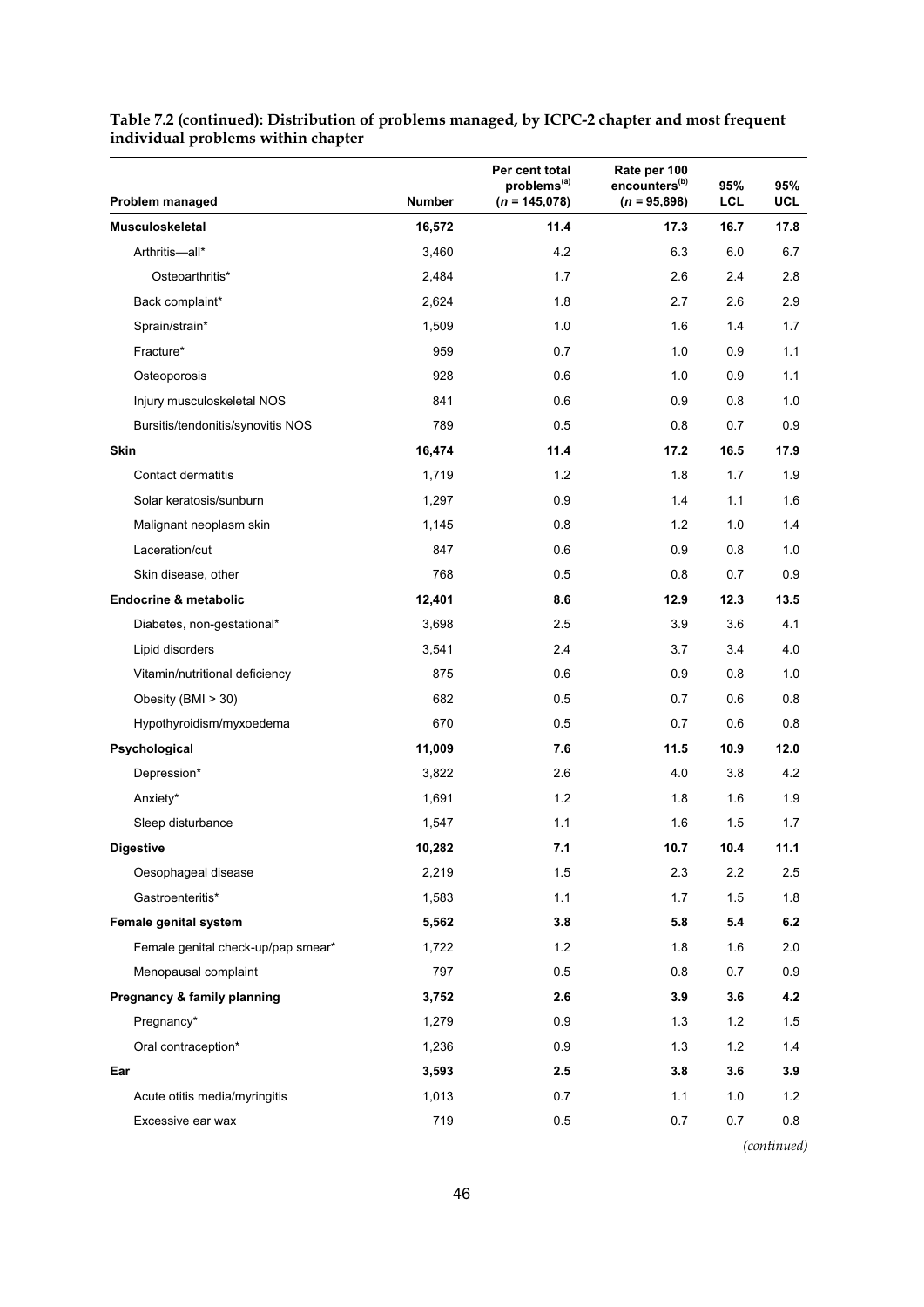| Problem managed                    | <b>Number</b> | Per cent total<br>problems <sup>(a)</sup><br>$(n = 145,078)$ | Rate per 100<br>encounters <sup>(b)</sup><br>$(n = 95,898)$ | 95%<br><b>LCL</b> | 95%<br><b>UCL</b> |
|------------------------------------|---------------|--------------------------------------------------------------|-------------------------------------------------------------|-------------------|-------------------|
| <b>Musculoskeletal</b>             | 16,572        | 11.4                                                         | 17.3                                                        | 16.7              | 17.8              |
| Arthritis-all*                     | 3,460         | 4.2                                                          | 6.3                                                         | 6.0               | 6.7               |
| Osteoarthritis*                    | 2,484         | 1.7                                                          | 2.6                                                         | 2.4               | 2.8               |
| Back complaint*                    | 2,624         | 1.8                                                          | 2.7                                                         | 2.6               | 2.9               |
| Sprain/strain*                     | 1,509         | 1.0                                                          | 1.6                                                         | 1.4               | 1.7               |
| Fracture*                          | 959           | 0.7                                                          | 1.0                                                         | 0.9               | 1.1               |
| Osteoporosis                       | 928           | 0.6                                                          | 1.0                                                         | 0.9               | 1.1               |
| Injury musculoskeletal NOS         | 841           | 0.6                                                          | 0.9                                                         | 0.8               | 1.0               |
| Bursitis/tendonitis/synovitis NOS  | 789           | 0.5                                                          | 0.8                                                         | 0.7               | 0.9               |
| Skin                               | 16,474        | 11.4                                                         | 17.2                                                        | 16.5              | 17.9              |
| Contact dermatitis                 | 1,719         | 1.2                                                          | 1.8                                                         | 1.7               | 1.9               |
| Solar keratosis/sunburn            | 1,297         | 0.9                                                          | 1.4                                                         | 1.1               | 1.6               |
| Malignant neoplasm skin            | 1,145         | 0.8                                                          | 1.2                                                         | 1.0               | 1.4               |
| Laceration/cut                     | 847           | 0.6                                                          | 0.9                                                         | 0.8               | 1.0               |
| Skin disease, other                | 768           | 0.5                                                          | 0.8                                                         | 0.7               | 0.9               |
| <b>Endocrine &amp; metabolic</b>   | 12,401        | 8.6                                                          | 12.9                                                        | 12.3              | 13.5              |
| Diabetes, non-gestational*         | 3,698         | 2.5                                                          | 3.9                                                         | 3.6               | 4.1               |
| Lipid disorders                    | 3,541         | 2.4                                                          | 3.7                                                         | 3.4               | 4.0               |
| Vitamin/nutritional deficiency     | 875           | 0.6                                                          | 0.9                                                         | 0.8               | 1.0               |
| Obesity (BMI > 30)                 | 682           | 0.5                                                          | 0.7                                                         | 0.6               | 0.8               |
| Hypothyroidism/myxoedema           | 670           | 0.5                                                          | 0.7                                                         | 0.6               | 0.8               |
| Psychological                      | 11,009        | 7.6                                                          | 11.5                                                        | 10.9              | 12.0              |
| Depression*                        | 3,822         | 2.6                                                          | 4.0                                                         | 3.8               | 4.2               |
| Anxiety*                           | 1,691         | 1.2                                                          | 1.8                                                         | 1.6               | 1.9               |
| Sleep disturbance                  | 1,547         | 1.1                                                          | 1.6                                                         | 1.5               | 1.7               |
| <b>Digestive</b>                   | 10,282        | 7.1                                                          | 10.7                                                        | 10.4              | 11.1              |
| Oesophageal disease                | 2,219         | 1.5                                                          | 2.3                                                         | $2.2\,$           | 2.5               |
| Gastroenteritis*                   | 1,583         | 1.1                                                          | 1.7                                                         | 1.5               | 1.8               |
| Female genital system              | 5,562         | 3.8                                                          | 5.8                                                         | 5.4               | 6.2               |
| Female genital check-up/pap smear* | 1,722         | 1.2                                                          | 1.8                                                         | 1.6               | 2.0               |
| Menopausal complaint               | 797           | 0.5                                                          | 0.8                                                         | 0.7               | 0.9               |
| Pregnancy & family planning        | 3,752         | 2.6                                                          | 3.9                                                         | 3.6               | 4.2               |
| Pregnancy*                         | 1,279         | 0.9                                                          | 1.3                                                         | 1.2               | 1.5               |
| Oral contraception*                | 1,236         | 0.9                                                          | 1.3                                                         | $1.2$             | 1.4               |
| Ear                                | 3,593         | 2.5                                                          | 3.8                                                         | 3.6               | 3.9               |
| Acute otitis media/myringitis      | 1,013         | 0.7                                                          | 1.1                                                         | 1.0               | 1.2               |
| Excessive ear wax                  | 719           | 0.5                                                          | 0.7                                                         | 0.7               | 0.8               |

#### **Table 7.2 (continued): Distribution of problems managed, by ICPC-2 chapter and most frequent individual problems within chapter**

*(continued)*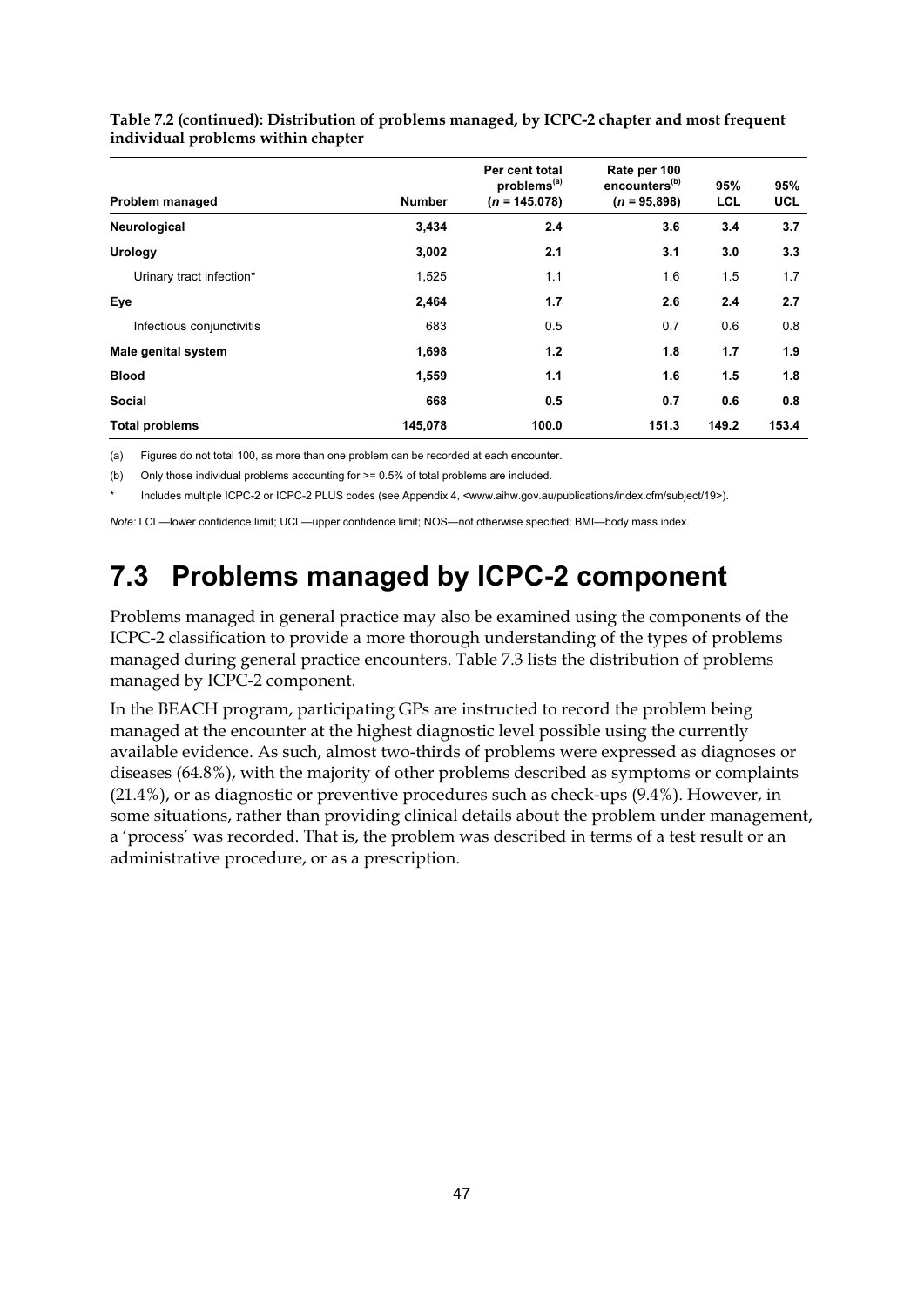| Problem managed           | <b>Number</b> | Per cent total<br>problems <sup>(a)</sup><br>$(n = 145.078)$ | Rate per 100<br>encounters <sup>(b)</sup><br>$(n = 95,898)$ | 95%<br><b>LCL</b> | 95%<br><b>UCL</b> |
|---------------------------|---------------|--------------------------------------------------------------|-------------------------------------------------------------|-------------------|-------------------|
| Neurological              | 3,434         | 2.4                                                          | 3.6                                                         | 3.4               | 3.7               |
| Urology                   | 3,002         | 2.1                                                          | 3.1                                                         | 3.0               | 3.3               |
| Urinary tract infection*  | 1,525         | 1.1                                                          | 1.6                                                         | 1.5               | 1.7               |
| Eye                       | 2,464         | 1.7                                                          | 2.6                                                         | 2.4               | 2.7               |
| Infectious conjunctivitis | 683           | 0.5                                                          | 0.7                                                         | 0.6               | 0.8               |
| Male genital system       | 1,698         | 1.2                                                          | 1.8                                                         | 1.7               | 1.9               |
| <b>Blood</b>              | 1,559         | 1.1                                                          | 1.6                                                         | 1.5               | 1.8               |
| <b>Social</b>             | 668           | 0.5                                                          | 0.7                                                         | 0.6               | 0.8               |
| <b>Total problems</b>     | 145,078       | 100.0                                                        | 151.3                                                       | 149.2             | 153.4             |

**Table 7.2 (continued): Distribution of problems managed, by ICPC-2 chapter and most frequent individual problems within chapter** 

(a) Figures do not total 100, as more than one problem can be recorded at each encounter.

(b) Only those individual problems accounting for >= 0.5% of total problems are included.

Includes multiple ICPC-2 or ICPC-2 PLUS codes (see Appendix 4, <www.aihw.gov.au/publications/index.cfm/subject/19>).

*Note:* LCL—lower confidence limit; UCL—upper confidence limit; NOS—not otherwise specified; BMI—body mass index.

### **7.3 Problems managed by ICPC-2 component**

Problems managed in general practice may also be examined using the components of the ICPC-2 classification to provide a more thorough understanding of the types of problems managed during general practice encounters. Table 7.3 lists the distribution of problems managed by ICPC-2 component.

In the BEACH program, participating GPs are instructed to record the problem being managed at the encounter at the highest diagnostic level possible using the currently available evidence. As such, almost two-thirds of problems were expressed as diagnoses or diseases (64.8%), with the majority of other problems described as symptoms or complaints (21.4%), or as diagnostic or preventive procedures such as check-ups (9.4%). However, in some situations, rather than providing clinical details about the problem under management, a 'process' was recorded. That is, the problem was described in terms of a test result or an administrative procedure, or as a prescription.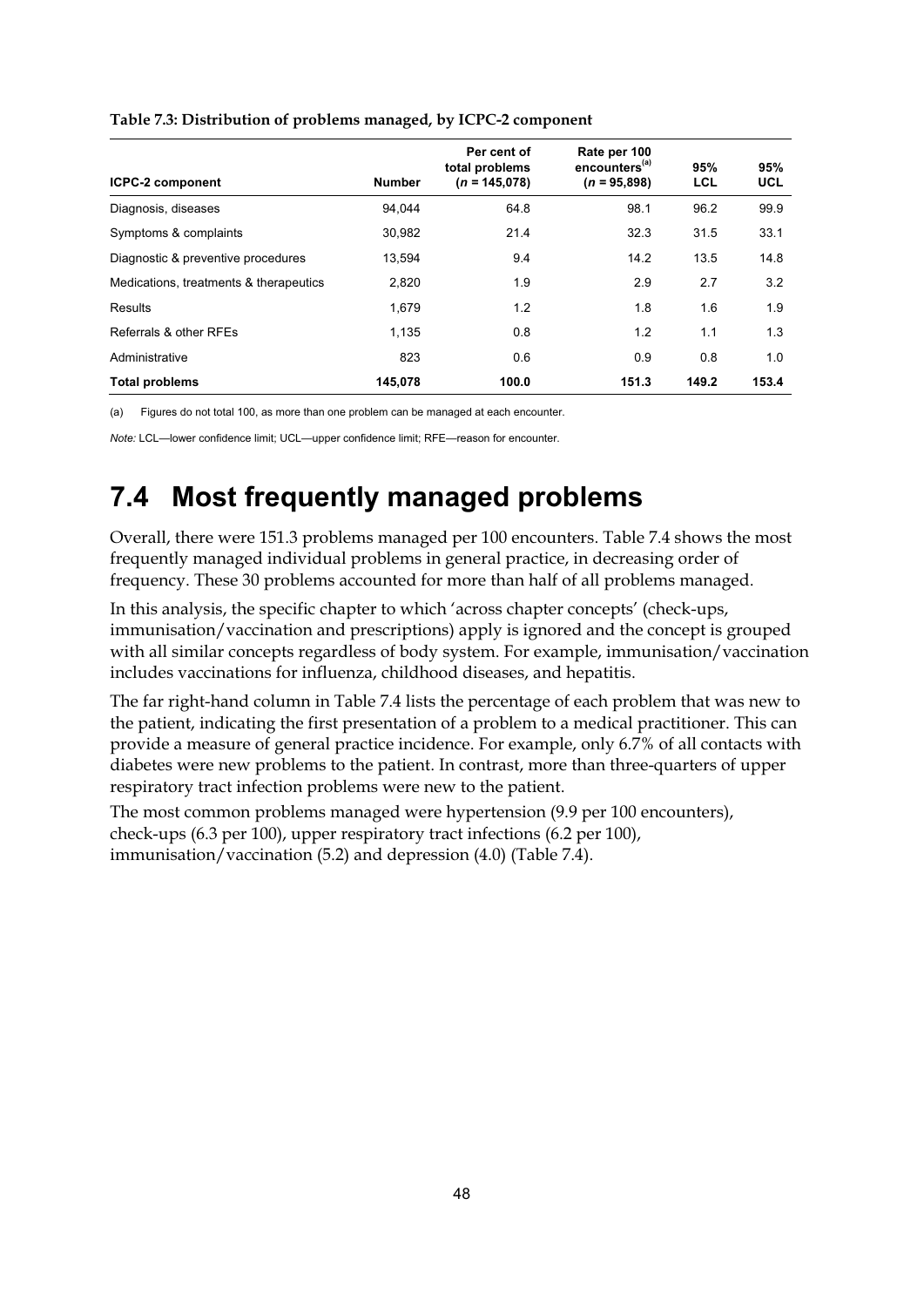| <b>ICPC-2 component</b>                | <b>Number</b> | Per cent of<br>total problems<br>$(n = 145.078)$ | Rate per 100<br>encounters <sup>(a)</sup><br>$(n = 95,898)$ | 95%<br><b>LCL</b> | 95%<br><b>UCL</b> |
|----------------------------------------|---------------|--------------------------------------------------|-------------------------------------------------------------|-------------------|-------------------|
| Diagnosis, diseases                    | 94.044        | 64.8                                             | 98.1                                                        | 96.2              | 99.9              |
| Symptoms & complaints                  | 30,982        | 21.4                                             | 32.3                                                        | 31.5              | 33.1              |
| Diagnostic & preventive procedures     | 13.594        | 9.4                                              | 14.2                                                        | 13.5              | 14.8              |
| Medications, treatments & therapeutics | 2.820         | 1.9                                              | 2.9                                                         | 2.7               | 3.2               |
| Results                                | 1.679         | 1.2                                              | 1.8                                                         | 1.6               | 1.9               |
| Referrals & other RFEs                 | 1.135         | 0.8                                              | 1.2                                                         | 1.1               | 1.3               |
| Administrative                         | 823           | 0.6                                              | 0.9                                                         | 0.8               | 1.0               |
| <b>Total problems</b>                  | 145,078       | 100.0                                            | 151.3                                                       | 149.2             | 153.4             |

#### **Table 7.3: Distribution of problems managed, by ICPC-2 component**

(a) Figures do not total 100, as more than one problem can be managed at each encounter.

*Note:* LCL—lower confidence limit; UCL—upper confidence limit; RFE—reason for encounter.

### **7.4 Most frequently managed problems**

Overall, there were 151.3 problems managed per 100 encounters. Table 7.4 shows the most frequently managed individual problems in general practice, in decreasing order of frequency. These 30 problems accounted for more than half of all problems managed.

In this analysis, the specific chapter to which 'across chapter concepts' (check-ups, immunisation/vaccination and prescriptions) apply is ignored and the concept is grouped with all similar concepts regardless of body system. For example, immunisation/vaccination includes vaccinations for influenza, childhood diseases, and hepatitis.

The far right-hand column in Table 7.4 lists the percentage of each problem that was new to the patient, indicating the first presentation of a problem to a medical practitioner. This can provide a measure of general practice incidence. For example, only 6.7% of all contacts with diabetes were new problems to the patient. In contrast, more than three-quarters of upper respiratory tract infection problems were new to the patient.

The most common problems managed were hypertension (9.9 per 100 encounters), check-ups (6.3 per 100), upper respiratory tract infections (6.2 per 100), immunisation/vaccination (5.2) and depression (4.0) (Table 7.4).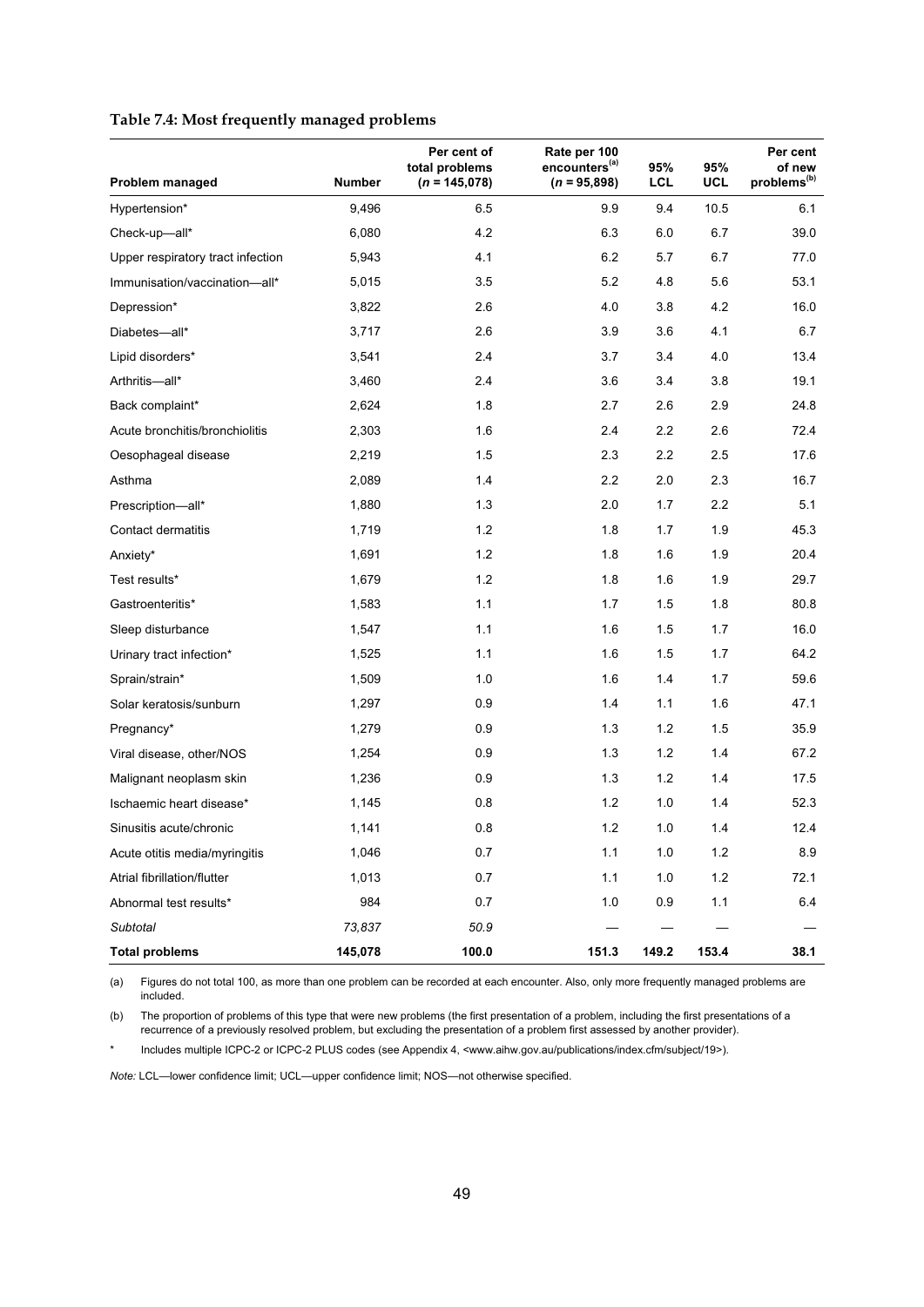#### **Table 7.4: Most frequently managed problems**

|                                   |               | Per cent of<br>total problems | Rate per 100<br>encounters <sup>(a)</sup> | 95%        | 95%        | Per cent<br>of new      |
|-----------------------------------|---------------|-------------------------------|-------------------------------------------|------------|------------|-------------------------|
| Problem managed                   | <b>Number</b> | $(n = 145,078)$               | $(n = 95,898)$                            | <b>LCL</b> | <b>UCL</b> | problems <sup>(b)</sup> |
| Hypertension*                     | 9,496         | 6.5                           | 9.9                                       | 9.4        | 10.5       | 6.1                     |
| Check-up-all*                     | 6,080         | 4.2                           | 6.3                                       | 6.0        | 6.7        | 39.0                    |
| Upper respiratory tract infection | 5,943         | 4.1                           | 6.2                                       | 5.7        | 6.7        | 77.0                    |
| Immunisation/vaccination-all*     | 5,015         | 3.5                           | 5.2                                       | 4.8        | 5.6        | 53.1                    |
| Depression*                       | 3,822         | 2.6                           | 4.0                                       | 3.8        | 4.2        | 16.0                    |
| Diabetes-all*                     | 3,717         | 2.6                           | 3.9                                       | 3.6        | 4.1        | 6.7                     |
| Lipid disorders*                  | 3,541         | 2.4                           | 3.7                                       | 3.4        | 4.0        | 13.4                    |
| Arthritis-all*                    | 3,460         | 2.4                           | 3.6                                       | 3.4        | 3.8        | 19.1                    |
| Back complaint*                   | 2,624         | 1.8                           | 2.7                                       | 2.6        | 2.9        | 24.8                    |
| Acute bronchitis/bronchiolitis    | 2,303         | 1.6                           | 2.4                                       | 2.2        | 2.6        | 72.4                    |
| Oesophageal disease               | 2,219         | 1.5                           | 2.3                                       | 2.2        | 2.5        | 17.6                    |
| Asthma                            | 2,089         | 1.4                           | 2.2                                       | 2.0        | 2.3        | 16.7                    |
| Prescription-all*                 | 1,880         | 1.3                           | 2.0                                       | 1.7        | 2.2        | 5.1                     |
| Contact dermatitis                | 1,719         | 1.2                           | 1.8                                       | 1.7        | 1.9        | 45.3                    |
| Anxiety*                          | 1,691         | 1.2                           | 1.8                                       | 1.6        | 1.9        | 20.4                    |
| Test results*                     | 1,679         | 1.2                           | 1.8                                       | 1.6        | 1.9        | 29.7                    |
| Gastroenteritis*                  | 1,583         | 1.1                           | 1.7                                       | 1.5        | 1.8        | 80.8                    |
| Sleep disturbance                 | 1,547         | 1.1                           | 1.6                                       | 1.5        | 1.7        | 16.0                    |
| Urinary tract infection*          | 1,525         | 1.1                           | 1.6                                       | 1.5        | 1.7        | 64.2                    |
| Sprain/strain*                    | 1,509         | 1.0                           | 1.6                                       | 1.4        | 1.7        | 59.6                    |
| Solar keratosis/sunburn           | 1,297         | 0.9                           | 1.4                                       | 1.1        | 1.6        | 47.1                    |
| Pregnancy*                        | 1,279         | 0.9                           | 1.3                                       | 1.2        | 1.5        | 35.9                    |
| Viral disease, other/NOS          | 1,254         | 0.9                           | 1.3                                       | 1.2        | 1.4        | 67.2                    |
| Malignant neoplasm skin           | 1,236         | 0.9                           | 1.3                                       | 1.2        | 1.4        | 17.5                    |
| Ischaemic heart disease*          | 1,145         | 0.8                           | 1.2                                       | 1.0        | 1.4        | 52.3                    |
| Sinusitis acute/chronic           | 1,141         | 0.8                           | 1.2                                       | 1.0        | 1.4        | 12.4                    |
| Acute otitis media/myringitis     | 1,046         | 0.7                           | 1.1                                       | $1.0$      | 1.2        | 8.9                     |
| Atrial fibrillation/flutter       | 1,013         | 0.7                           | 1.1                                       | 1.0        | 1.2        | 72.1                    |
| Abnormal test results*            | 984           | 0.7                           | 1.0                                       | 0.9        | 1.1        | 6.4                     |
| Subtotal                          | 73,837        | 50.9                          |                                           |            |            |                         |
| <b>Total problems</b>             | 145,078       | 100.0                         | 151.3                                     | 149.2      | 153.4      | 38.1                    |

(a) Figures do not total 100, as more than one problem can be recorded at each encounter. Also, only more frequently managed problems are included.

(b) The proportion of problems of this type that were new problems (the first presentation of a problem, including the first presentations of a recurrence of a previously resolved problem, but excluding the presentation of a problem first assessed by another provider).

Includes multiple ICPC-2 or ICPC-2 PLUS codes (see Appendix 4, <www.aihw.gov.au/publications/index.cfm/subject/19>).

*Note:* LCL—lower confidence limit; UCL—upper confidence limit; NOS—not otherwise specified.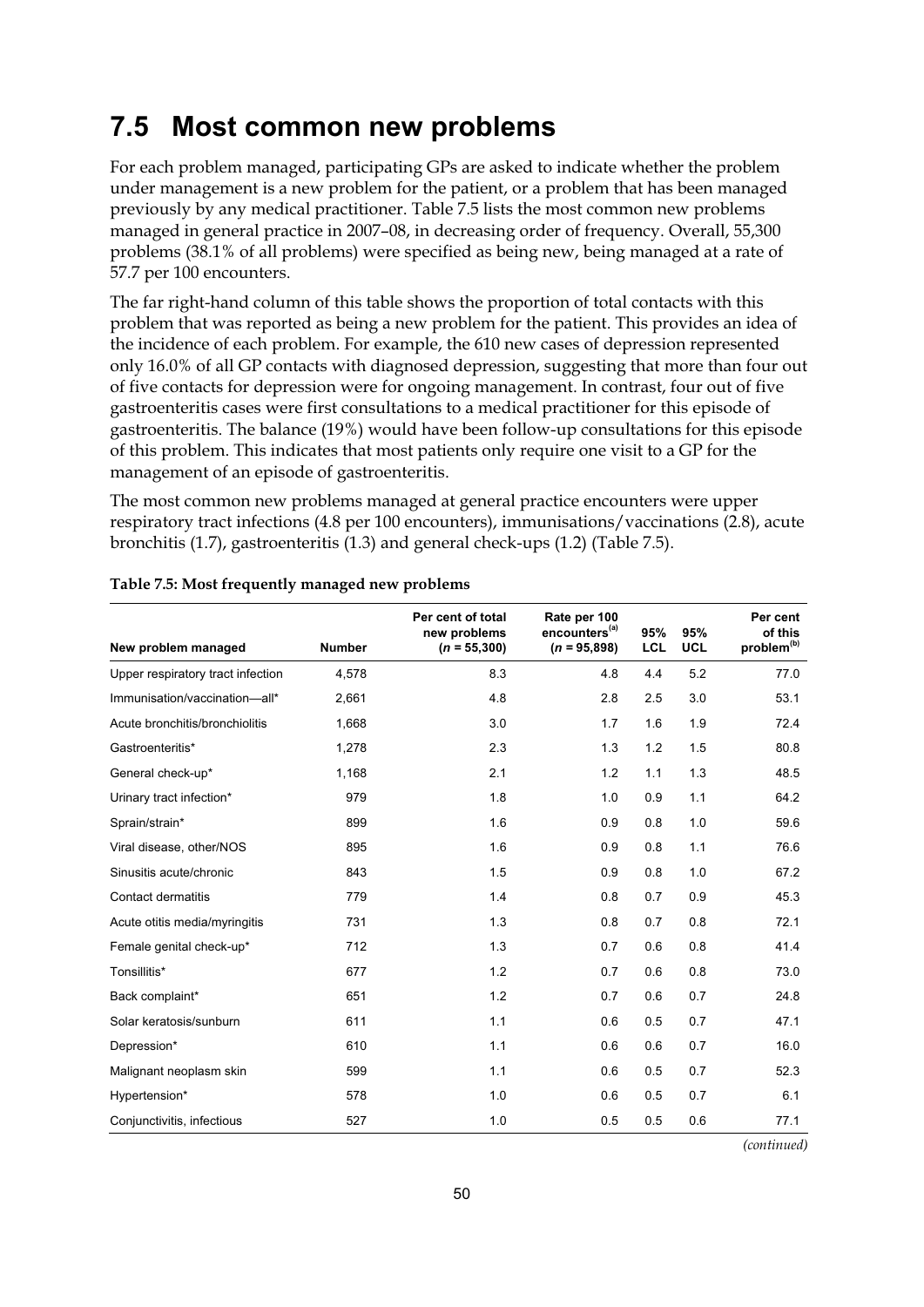### **7.5 Most common new problems**

For each problem managed, participating GPs are asked to indicate whether the problem under management is a new problem for the patient, or a problem that has been managed previously by any medical practitioner. Table 7.5 lists the most common new problems managed in general practice in 2007–08, in decreasing order of frequency. Overall, 55,300 problems (38.1% of all problems) were specified as being new, being managed at a rate of 57.7 per 100 encounters.

The far right-hand column of this table shows the proportion of total contacts with this problem that was reported as being a new problem for the patient. This provides an idea of the incidence of each problem. For example, the 610 new cases of depression represented only 16.0% of all GP contacts with diagnosed depression, suggesting that more than four out of five contacts for depression were for ongoing management. In contrast, four out of five gastroenteritis cases were first consultations to a medical practitioner for this episode of gastroenteritis. The balance (19%) would have been follow-up consultations for this episode of this problem. This indicates that most patients only require one visit to a GP for the management of an episode of gastroenteritis.

The most common new problems managed at general practice encounters were upper respiratory tract infections (4.8 per 100 encounters), immunisations/vaccinations (2.8), acute bronchitis (1.7), gastroenteritis (1.3) and general check-ups (1.2) (Table 7.5).

| New problem managed               | <b>Number</b> | Per cent of total<br>new problems<br>$(n = 55,300)$ | Rate per 100<br>encounters <sup>(a)</sup><br>$(n = 95,898)$ | 95%<br><b>LCL</b> | 95%<br><b>UCL</b> | Per cent<br>of this<br>problem <sup>(b)</sup> |
|-----------------------------------|---------------|-----------------------------------------------------|-------------------------------------------------------------|-------------------|-------------------|-----------------------------------------------|
| Upper respiratory tract infection | 4,578         | 8.3                                                 | 4.8                                                         | 4.4               | 5.2               | 77.0                                          |
| Immunisation/vaccination-all*     | 2,661         | 4.8                                                 | 2.8                                                         | 2.5               | 3.0               | 53.1                                          |
| Acute bronchitis/bronchiolitis    | 1,668         | 3.0                                                 | 1.7                                                         | 1.6               | 1.9               | 72.4                                          |
| Gastroenteritis*                  | 1,278         | 2.3                                                 | 1.3                                                         | 1.2               | 1.5               | 80.8                                          |
| General check-up*                 | 1,168         | 2.1                                                 | 1.2                                                         | 1.1               | 1.3               | 48.5                                          |
| Urinary tract infection*          | 979           | 1.8                                                 | 1.0                                                         | 0.9               | 1.1               | 64.2                                          |
| Sprain/strain*                    | 899           | 1.6                                                 | 0.9                                                         | 0.8               | 1.0               | 59.6                                          |
| Viral disease, other/NOS          | 895           | 1.6                                                 | 0.9                                                         | 0.8               | 1.1               | 76.6                                          |
| Sinusitis acute/chronic           | 843           | 1.5                                                 | 0.9                                                         | 0.8               | 1.0               | 67.2                                          |
| Contact dermatitis                | 779           | 1.4                                                 | 0.8                                                         | 0.7               | 0.9               | 45.3                                          |
| Acute otitis media/myringitis     | 731           | 1.3                                                 | 0.8                                                         | 0.7               | 0.8               | 72.1                                          |
| Female genital check-up*          | 712           | 1.3                                                 | 0.7                                                         | 0.6               | 0.8               | 41.4                                          |
| Tonsillitis*                      | 677           | 1.2                                                 | 0.7                                                         | 0.6               | 0.8               | 73.0                                          |
| Back complaint*                   | 651           | 1.2                                                 | 0.7                                                         | 0.6               | 0.7               | 24.8                                          |
| Solar keratosis/sunburn           | 611           | 1.1                                                 | 0.6                                                         | 0.5               | 0.7               | 47.1                                          |
| Depression*                       | 610           | 1.1                                                 | 0.6                                                         | 0.6               | 0.7               | 16.0                                          |
| Malignant neoplasm skin           | 599           | 1.1                                                 | 0.6                                                         | 0.5               | 0.7               | 52.3                                          |
| Hypertension*                     | 578           | 1.0                                                 | 0.6                                                         | 0.5               | 0.7               | 6.1                                           |
| Conjunctivitis, infectious        | 527           | 1.0                                                 | 0.5                                                         | 0.5               | 0.6               | 77.1                                          |

### **Table 7.5: Most frequently managed new problems**

*(continued)*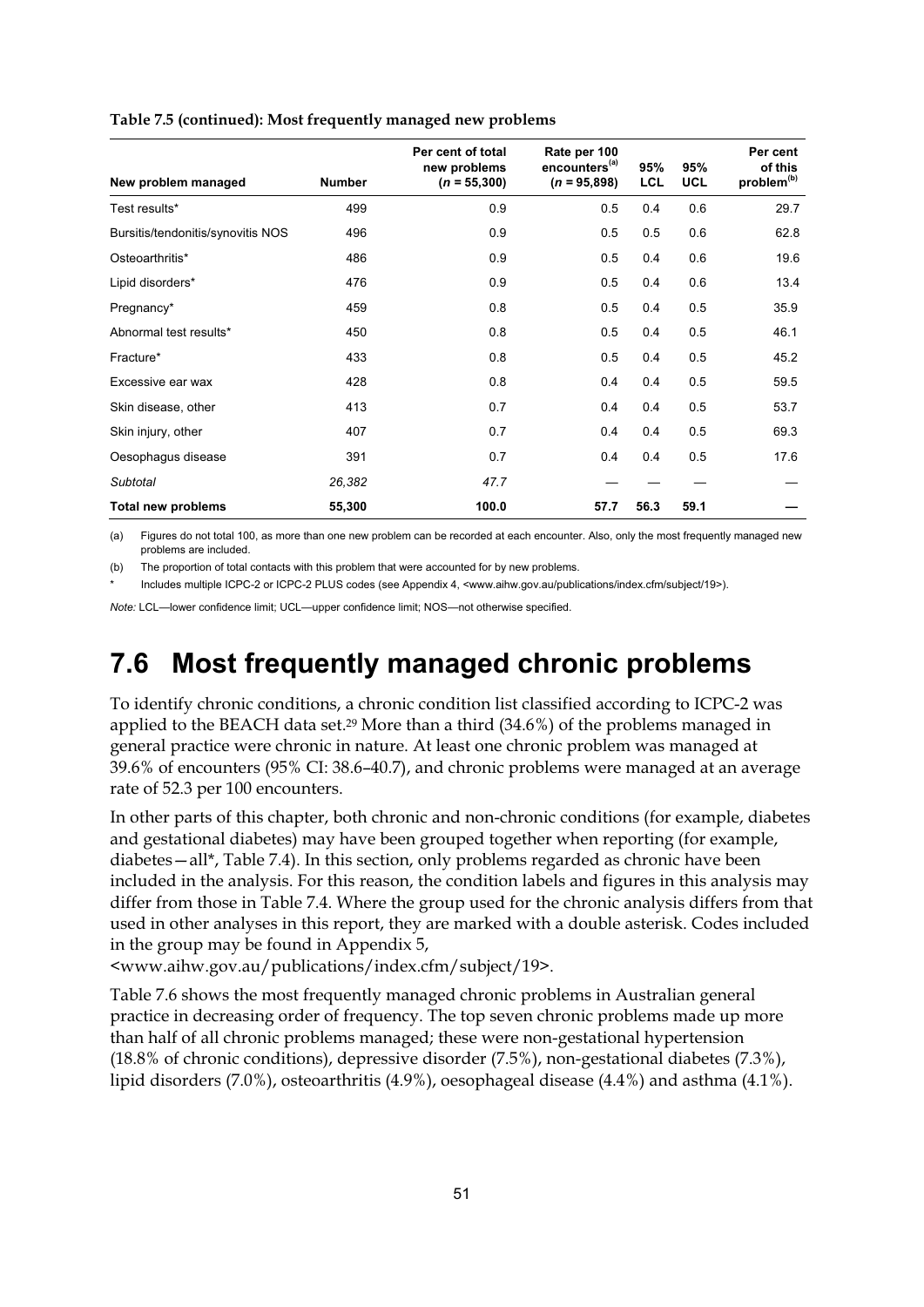| New problem managed               | <b>Number</b> | Per cent of total<br>new problems<br>$(n = 55,300)$ | Rate per 100<br>encounters <sup>(a)</sup><br>$(n = 95,898)$ | 95%<br><b>LCL</b> | 95%<br><b>UCL</b> | Per cent<br>of this<br>problem <sup>(b)</sup> |
|-----------------------------------|---------------|-----------------------------------------------------|-------------------------------------------------------------|-------------------|-------------------|-----------------------------------------------|
| Test results*                     | 499           | 0.9                                                 | 0.5                                                         | 0.4               | 0.6               | 29.7                                          |
| Bursitis/tendonitis/synovitis NOS | 496           | 0.9                                                 | 0.5                                                         | 0.5               | 0.6               | 62.8                                          |
| Osteoarthritis*                   | 486           | 0.9                                                 | 0.5                                                         | 0.4               | 0.6               | 19.6                                          |
| Lipid disorders*                  | 476           | 0.9                                                 | 0.5                                                         | 0.4               | 0.6               | 13.4                                          |
| Pregnancy*                        | 459           | 0.8                                                 | 0.5                                                         | 0.4               | 0.5               | 35.9                                          |
| Abnormal test results*            | 450           | 0.8                                                 | 0.5                                                         | 0.4               | 0.5               | 46.1                                          |
| Fracture*                         | 433           | 0.8                                                 | 0.5                                                         | 0.4               | 0.5               | 45.2                                          |
| Excessive ear wax                 | 428           | 0.8                                                 | 0.4                                                         | 0.4               | 0.5               | 59.5                                          |
| Skin disease, other               | 413           | 0.7                                                 | 0.4                                                         | 0.4               | 0.5               | 53.7                                          |
| Skin injury, other                | 407           | 0.7                                                 | 0.4                                                         | 0.4               | 0.5               | 69.3                                          |
| Oesophagus disease                | 391           | 0.7                                                 | 0.4                                                         | 0.4               | 0.5               | 17.6                                          |
| Subtotal                          | 26,382        | 47.7                                                |                                                             |                   |                   |                                               |
| <b>Total new problems</b>         | 55,300        | 100.0                                               | 57.7                                                        | 56.3              | 59.1              |                                               |

**Table 7.5 (continued): Most frequently managed new problems** 

(a) Figures do not total 100, as more than one new problem can be recorded at each encounter. Also, only the most frequently managed new problems are included.

(b) The proportion of total contacts with this problem that were accounted for by new problems.

Includes multiple ICPC-2 or ICPC-2 PLUS codes (see Appendix 4, <www.aihw.gov.au/publications/index.cfm/subject/19>).

*Note:* LCL—lower confidence limit; UCL—upper confidence limit; NOS—not otherwise specified.

### **7.6 Most frequently managed chronic problems**

To identify chronic conditions, a chronic condition list classified according to ICPC-2 was applied to the BEACH data set.<sup>29</sup> More than a third (34.6%) of the problems managed in general practice were chronic in nature. At least one chronic problem was managed at 39.6% of encounters (95% CI: 38.6–40.7), and chronic problems were managed at an average rate of 52.3 per 100 encounters.

In other parts of this chapter, both chronic and non-chronic conditions (for example, diabetes and gestational diabetes) may have been grouped together when reporting (for example, diabetes—all\*, Table 7.4). In this section, only problems regarded as chronic have been included in the analysis. For this reason, the condition labels and figures in this analysis may differ from those in Table 7.4. Where the group used for the chronic analysis differs from that used in other analyses in this report, they are marked with a double asterisk. Codes included in the group may be found in Appendix 5,

<www.aihw.gov.au/publications/index.cfm/subject/19>.

Table 7.6 shows the most frequently managed chronic problems in Australian general practice in decreasing order of frequency. The top seven chronic problems made up more than half of all chronic problems managed; these were non-gestational hypertension (18.8% of chronic conditions), depressive disorder (7.5%), non-gestational diabetes (7.3%), lipid disorders (7.0%), osteoarthritis (4.9%), oesophageal disease (4.4%) and asthma (4.1%).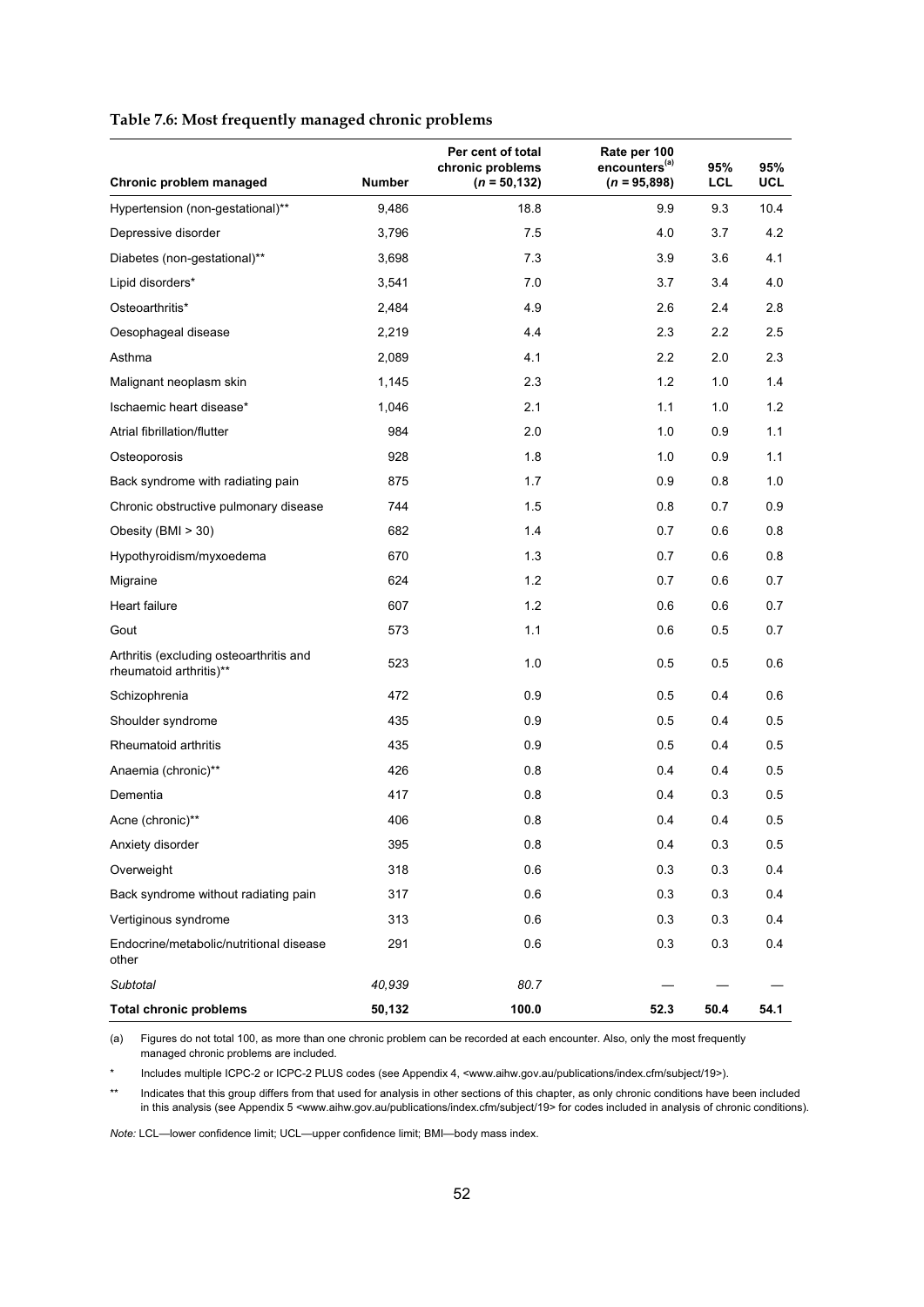#### **Table 7.6: Most frequently managed chronic problems**

|                                                                    |               | Per cent of total<br>chronic problems | Rate per 100<br>encounters <sup>(a)</sup> | 95%        | 95%  |
|--------------------------------------------------------------------|---------------|---------------------------------------|-------------------------------------------|------------|------|
| Chronic problem managed                                            | <b>Number</b> | $(n = 50, 132)$                       | $(n = 95,898)$                            | <b>LCL</b> | UCL  |
| Hypertension (non-gestational)**                                   | 9,486         | 18.8                                  | 9.9                                       | 9.3        | 10.4 |
| Depressive disorder                                                | 3,796         | 7.5                                   | 4.0                                       | 3.7        | 4.2  |
| Diabetes (non-gestational)**                                       | 3,698         | 7.3                                   | 3.9                                       | 3.6        | 4.1  |
| Lipid disorders*                                                   | 3,541         | 7.0                                   | 3.7                                       | 3.4        | 4.0  |
| Osteoarthritis*                                                    | 2,484         | 4.9                                   | 2.6                                       | 2.4        | 2.8  |
| Oesophageal disease                                                | 2,219         | 4.4                                   | 2.3                                       | 2.2        | 2.5  |
| Asthma                                                             | 2,089         | 4.1                                   | 2.2                                       | 2.0        | 2.3  |
| Malignant neoplasm skin                                            | 1,145         | 2.3                                   | 1.2                                       | 1.0        | 1.4  |
| Ischaemic heart disease*                                           | 1,046         | 2.1                                   | 1.1                                       | 1.0        | 1.2  |
| Atrial fibrillation/flutter                                        | 984           | 2.0                                   | 1.0                                       | 0.9        | 1.1  |
| Osteoporosis                                                       | 928           | 1.8                                   | 1.0                                       | 0.9        | 1.1  |
| Back syndrome with radiating pain                                  | 875           | 1.7                                   | 0.9                                       | 0.8        | 1.0  |
| Chronic obstructive pulmonary disease                              | 744           | 1.5                                   | 0.8                                       | 0.7        | 0.9  |
| Obesity (BMI > 30)                                                 | 682           | 1.4                                   | 0.7                                       | 0.6        | 0.8  |
| Hypothyroidism/myxoedema                                           | 670           | 1.3                                   | 0.7                                       | 0.6        | 0.8  |
| Migraine                                                           | 624           | 1.2                                   | 0.7                                       | 0.6        | 0.7  |
| Heart failure                                                      | 607           | 1.2                                   | 0.6                                       | 0.6        | 0.7  |
| Gout                                                               | 573           | 1.1                                   | 0.6                                       | 0.5        | 0.7  |
| Arthritis (excluding osteoarthritis and<br>rheumatoid arthritis)** | 523           | 1.0                                   | 0.5                                       | 0.5        | 0.6  |
| Schizophrenia                                                      | 472           | 0.9                                   | 0.5                                       | 0.4        | 0.6  |
| Shoulder syndrome                                                  | 435           | 0.9                                   | 0.5                                       | 0.4        | 0.5  |
| Rheumatoid arthritis                                               | 435           | 0.9                                   | 0.5                                       | 0.4        | 0.5  |
| Anaemia (chronic)**                                                | 426           | 0.8                                   | 0.4                                       | 0.4        | 0.5  |
| Dementia                                                           | 417           | 0.8                                   | 0.4                                       | 0.3        | 0.5  |
| Acne (chronic)**                                                   | 406           | 0.8                                   | 0.4                                       | 0.4        | 0.5  |
| Anxiety disorder                                                   | 395           | 0.8                                   | 0.4                                       | 0.3        | 0.5  |
| Overweight                                                         | 318           | 0.6                                   | 0.3                                       | 0.3        | 0.4  |
| Back syndrome without radiating pain                               | 317           | 0.6                                   | 0.3                                       | 0.3        | 0.4  |
| Vertiginous syndrome                                               | 313           | 0.6                                   | 0.3                                       | 0.3        | 0.4  |
| Endocrine/metabolic/nutritional disease<br>other                   | 291           | 0.6                                   | 0.3                                       | 0.3        | 0.4  |
| Subtotal                                                           | 40,939        | 80.7                                  |                                           |            |      |
| <b>Total chronic problems</b>                                      | 50,132        | 100.0                                 | 52.3                                      | 50.4       | 54.1 |

(a) Figures do not total 100, as more than one chronic problem can be recorded at each encounter. Also, only the most frequently managed chronic problems are included.

Includes multiple ICPC-2 or ICPC-2 PLUS codes (see Appendix 4, <www.aihw.gov.au/publications/index.cfm/subject/19>).

\*\* Indicates that this group differs from that used for analysis in other sections of this chapter, as only chronic conditions have been included in this analysis (see Appendix 5 <www.aihw.gov.au/publications/index.cfm/subject/19> for codes included in analysis of chronic conditions).

*Note:* LCL—lower confidence limit; UCL—upper confidence limit; BMI—body mass index.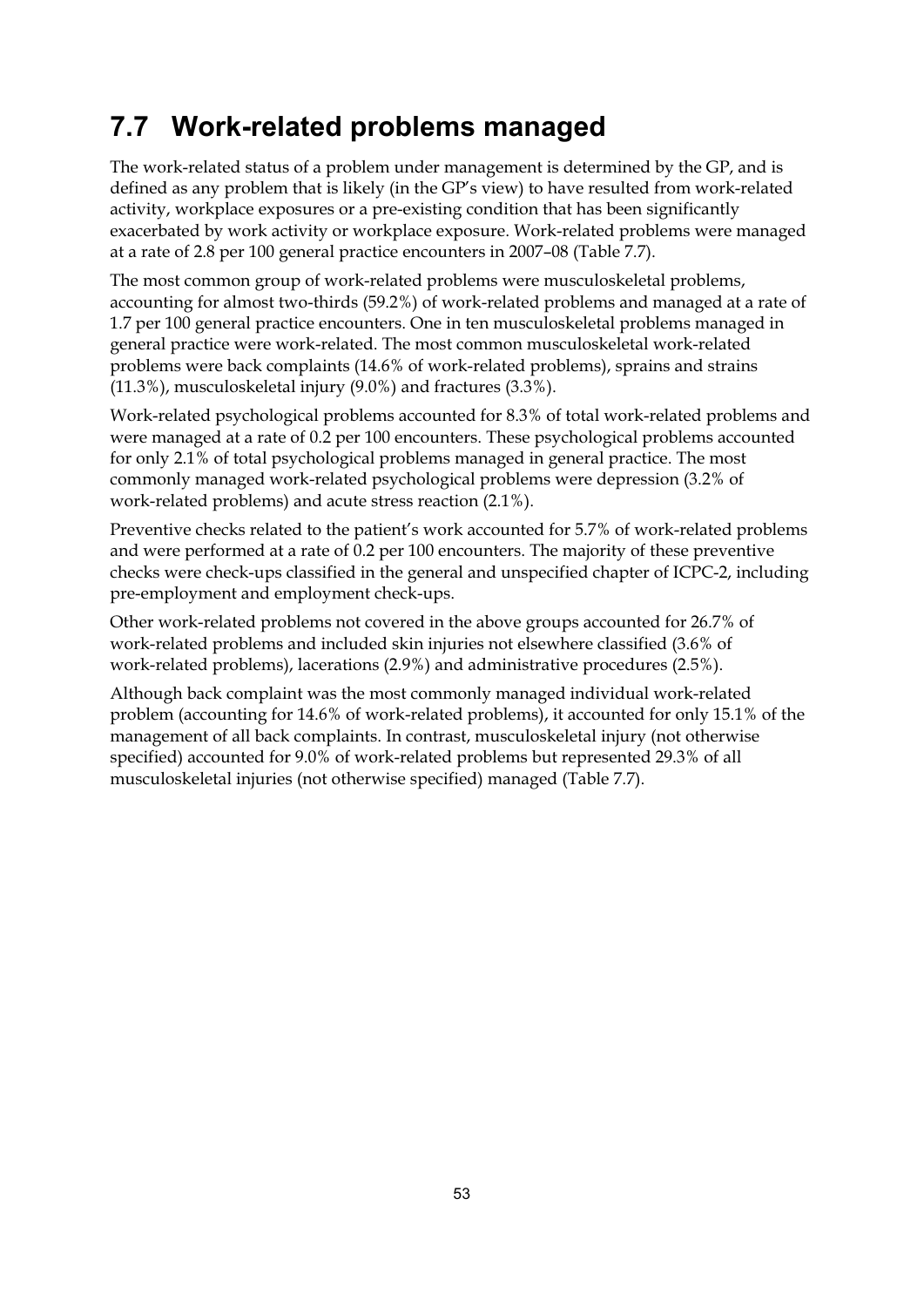# **7.7 Work-related problems managed**

The work-related status of a problem under management is determined by the GP, and is defined as any problem that is likely (in the GP's view) to have resulted from work-related activity, workplace exposures or a pre-existing condition that has been significantly exacerbated by work activity or workplace exposure. Work-related problems were managed at a rate of 2.8 per 100 general practice encounters in 2007–08 (Table 7.7).

The most common group of work-related problems were musculoskeletal problems, accounting for almost two-thirds (59.2%) of work-related problems and managed at a rate of 1.7 per 100 general practice encounters. One in ten musculoskeletal problems managed in general practice were work-related. The most common musculoskeletal work-related problems were back complaints (14.6% of work-related problems), sprains and strains (11.3%), musculoskeletal injury (9.0%) and fractures (3.3%).

Work-related psychological problems accounted for 8.3% of total work-related problems and were managed at a rate of 0.2 per 100 encounters. These psychological problems accounted for only 2.1% of total psychological problems managed in general practice. The most commonly managed work-related psychological problems were depression (3.2% of work-related problems) and acute stress reaction (2.1%).

Preventive checks related to the patient's work accounted for 5.7% of work-related problems and were performed at a rate of 0.2 per 100 encounters. The majority of these preventive checks were check-ups classified in the general and unspecified chapter of ICPC-2, including pre-employment and employment check-ups.

Other work-related problems not covered in the above groups accounted for 26.7% of work-related problems and included skin injuries not elsewhere classified (3.6% of work-related problems), lacerations (2.9%) and administrative procedures (2.5%).

Although back complaint was the most commonly managed individual work-related problem (accounting for 14.6% of work-related problems), it accounted for only 15.1% of the management of all back complaints. In contrast, musculoskeletal injury (not otherwise specified) accounted for 9.0% of work-related problems but represented 29.3% of all musculoskeletal injuries (not otherwise specified) managed (Table 7.7).